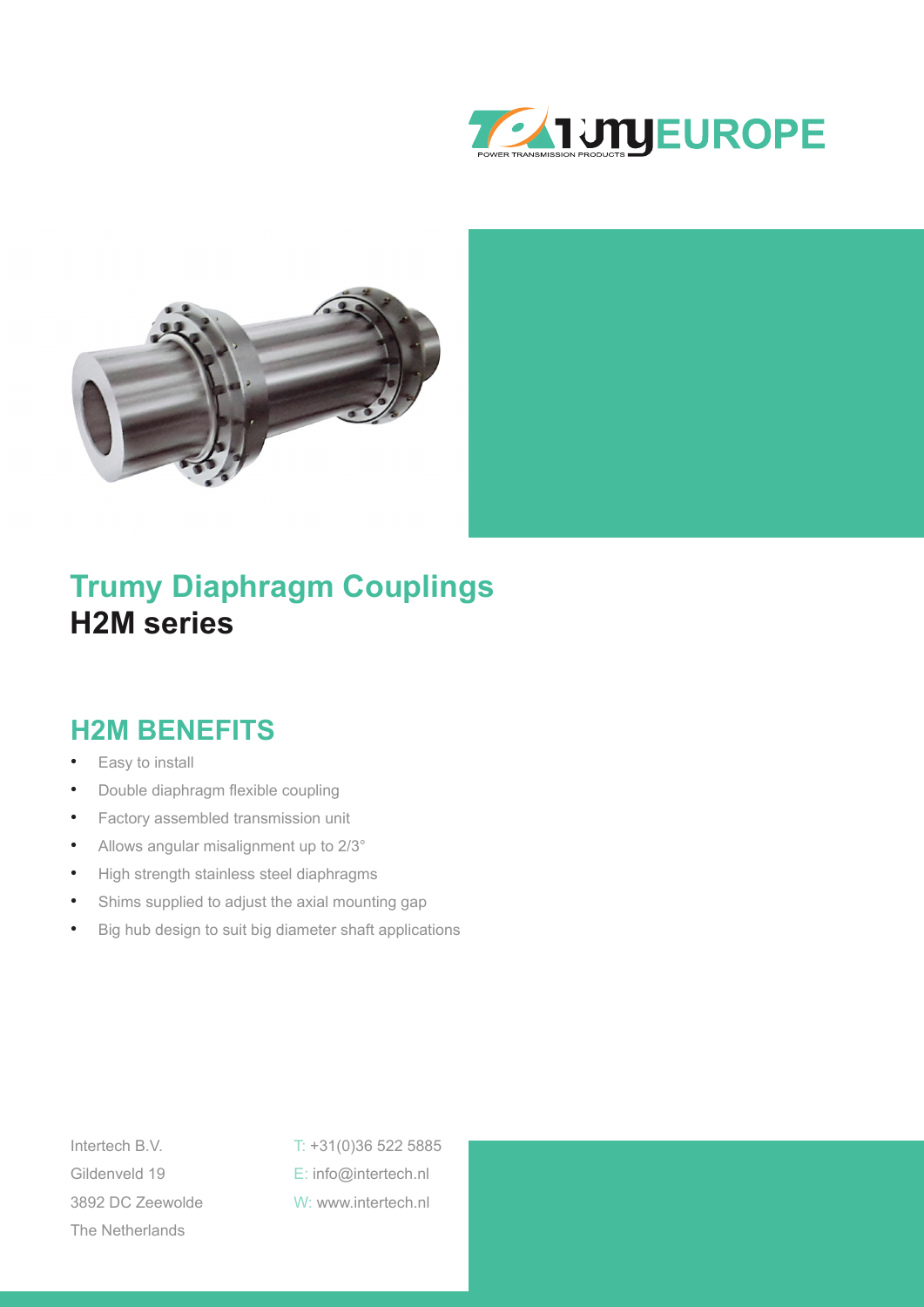



### **Trumy Diaphragm Couplings H2M series**

#### **H2M BENEFITS**

- Easy to install
- Double diaphragm flexible coupling
- Factory assembled transmission unit
- Allows angular misalignment up to 2/3°
- High strength stainless steel diaphragms
- Shims supplied to adjust the axial mounting gap
- Big hub design to suit big diameter shaft applications

The Netherlands

Intertech B.V. T: +31(0)36 522 5885 Gildenveld 19 E: info@intertech.nl 3892 DC Zeewolde W: www.intertech.nl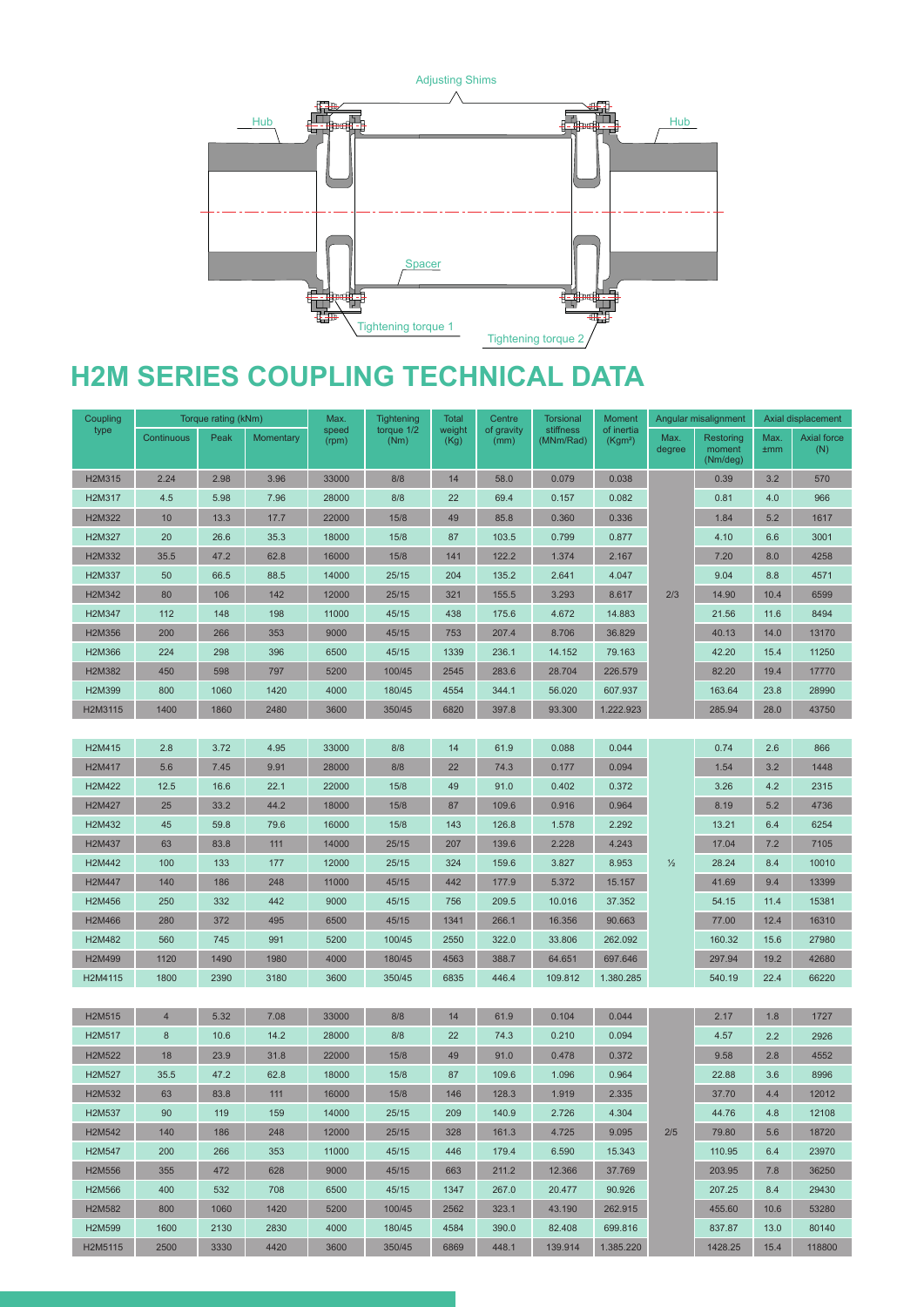

## **H2M SERIES COUPLING TECHNICAL DATA**

| Coupling | Torque rating (kNm) |      | Max.      | <b>Tightening</b> | <b>Total</b>       | Centre         | <b>Torsional</b>   | <b>Moment</b>          | Angular misalignment              |                | Axial displacement              |             |                    |
|----------|---------------------|------|-----------|-------------------|--------------------|----------------|--------------------|------------------------|-----------------------------------|----------------|---------------------------------|-------------|--------------------|
| type     | Continuous          | Peak | Momentary | speed<br>(rpm)    | torque 1/2<br>(Nm) | weight<br>(Kg) | of gravity<br>(mm) | stiffness<br>(MNm/Rad) | of inertia<br>(Kgm <sup>2</sup> ) | Max.<br>degree | Restoring<br>moment<br>(Nm/deg) | Max.<br>±mm | Axial force<br>(N) |
| H2M315   | 2.24                | 2.98 | 3.96      | 33000             | 8/8                | 14             | 58.0               | 0.079                  | 0.038                             | 2/3            | 0.39                            | 3.2         | 570                |
| H2M317   | 4.5                 | 5.98 | 7.96      | 28000             | 8/8                | 22             | 69.4               | 0.157                  | 0.082                             |                | 0.81                            | 4.0         | 966                |
| H2M322   | 10                  | 13.3 | 17.7      | 22000             | 15/8               | 49             | 85.8               | 0.360                  | 0.336                             |                | 1.84                            | 5.2         | 1617               |
| H2M327   | 20                  | 26.6 | 35.3      | 18000             | 15/8               | 87             | 103.5              | 0.799                  | 0.877                             |                | 4.10                            | 6.6         | 3001               |
| H2M332   | 35.5                | 47.2 | 62.8      | 16000             | 15/8               | 141            | 122.2              | 1.374                  | 2.167                             |                | 7.20                            | 8.0         | 4258               |
| H2M337   | 50                  | 66.5 | 88.5      | 14000             | 25/15              | 204            | 135.2              | 2.641                  | 4.047                             |                | 9.04                            | 8.8         | 4571               |
| H2M342   | 80                  | 106  | 142       | 12000             | 25/15              | 321            | 155.5              | 3.293                  | 8.617                             |                | 14.90                           | 10.4        | 6599               |
| H2M347   | 112                 | 148  | 198       | 11000             | 45/15              | 438            | 175.6              | 4.672                  | 14.883                            |                | 21.56                           | 11.6        | 8494               |
| H2M356   | 200                 | 266  | 353       | 9000              | 45/15              | 753            | 207.4              | 8.706                  | 36.829                            |                | 40.13                           | 14.0        | 13170              |
| H2M366   | 224                 | 298  | 396       | 6500              | 45/15              | 1339           | 236.1              | 14.152                 | 79.163                            |                | 42.20                           | 15.4        | 11250              |
| H2M382   | 450                 | 598  | 797       | 5200              | 100/45             | 2545           | 283.6              | 28.704                 | 226.579                           |                | 82.20                           | 19.4        | 17770              |
| H2M399   | 800                 | 1060 | 1420      | 4000              | 180/45             | 4554           | 344.1              | 56.020                 | 607.937                           |                | 163.64                          | 23.8        | 28990              |
| H2M3115  | 1400                | 1860 | 2480      | 3600              | 350/45             | 6820           | 397.8              | 93.300                 | 1.222.923                         |                | 285.94                          | 28.0        | 43750              |
|          |                     |      |           |                   |                    |                |                    |                        |                                   |                |                                 |             |                    |
| H2M415   | 2.8                 | 3.72 | 4.95      | 33000             | 8/8                | 14             | 61.9               | 0.088                  | 0.044                             |                | 0.74                            | 2.6         | 866                |
| H2M417   | 5.6                 | 7.45 | 9.91      | 28000             | 8/8                | 22             | 74.3               | 0.177                  | 0.094                             |                | 1.54                            | 3.2         | 1448               |
| H2M422   | 12.5                | 16.6 | 22.1      | 22000             | 15/8               | 49             | 91.0               | 0.402                  | 0.372                             |                | 3.26                            | 4.2         | 2315               |
| H2M427   | 25                  | 33.2 | 44.2      | 18000             | 15/8               | 87             | 109.6              | 0.916                  | 0.964                             | $\frac{1}{2}$  | 8.19                            | 5.2         | 4736               |
| H2M432   | 45                  | 59.8 | 79.6      | 16000             | 15/8               | 143            | 126.8              | 1.578                  | 2.292                             |                | 13.21                           | 6.4         | 6254               |
| H2M437   | 63                  | 83.8 | 111       | 14000             | 25/15              | 207            | 139.6              | 2.228                  | 4.243                             |                | 17.04                           | 7.2         | 7105               |
| H2M442   | 100                 | 133  | 177       | 12000             | 25/15              | 324            | 159.6              | 3.827                  | 8.953                             |                | 28.24                           | 8.4         | 10010              |
| H2M447   | 140                 | 186  | 248       | 11000             | 45/15              | 442            | 177.9              | 5.372                  | 15.157                            |                | 41.69                           | 9.4         | 13399              |
| H2M456   | 250                 | 332  | 442       | 9000              | 45/15              | 756            | 209.5              | 10.016                 | 37.352                            |                | 54.15                           | 11.4        | 15381              |
| H2M466   | 280                 | 372  | 495       | 6500              | 45/15              | 1341           | 266.1              | 16.356                 | 90.663                            |                | 77.00                           | 12.4        | 16310              |
| H2M482   | 560                 | 745  | 991       | 5200              | 100/45             | 2550           | 322.0              | 33.806                 | 262.092                           |                | 160.32                          | 15.6        | 27980              |
| H2M499   | 1120                | 1490 | 1980      | 4000              | 180/45             | 4563           | 388.7              | 64.651                 | 697.646                           |                | 297.94                          | 19.2        | 42680              |
| H2M4115  | 1800                | 2390 | 3180      | 3600              | 350/45             | 6835           | 446.4              | 109.812                | 1.380.285                         |                | 540.19                          | 22.4        | 66220              |
|          |                     |      |           |                   |                    |                |                    |                        |                                   |                |                                 |             |                    |
| H2M515   | $\overline{4}$      | 5.32 | 7.08      | 33000             | 8/8                | 14             | 61.9               | 0.104                  | 0.044                             | 2/5            | 2.17                            | 1.8         | 1727               |
| H2M517   | $\bf 8$             | 10.6 | 14.2      | 28000             | 8/8                | 22             | 74.3               | 0.210                  | 0.094                             |                | 4.57                            | 2.2         | 2926               |
| H2M522   | 18                  | 23.9 | 31.8      | 22000             | 15/8               | 49             | 91.0               | 0.478                  | 0.372                             |                | 9.58                            | 2.8         | 4552               |
| H2M527   | 35.5                | 47.2 | 62.8      | 18000             | 15/8               | 87             | 109.6              | 1.096                  | 0.964                             |                | 22.88                           | 3.6         | 8996               |
| H2M532   | 63                  | 83.8 | 111       | 16000             | 15/8               | 146            | 128.3              | 1.919                  | 2.335                             |                | 37.70                           | 4.4         | 12012              |
| H2M537   | 90                  | 119  | 159       | 14000             | 25/15              | 209            | 140.9              | 2.726                  | 4.304                             |                | 44.76                           | 4.8         | 12108              |
| H2M542   | 140                 | 186  | 248       | 12000             | 25/15              | 328            | 161.3              | 4.725                  | 9.095                             |                | 79.80                           | 5.6         | 18720              |
| H2M547   | 200                 | 266  | 353       | 11000             | 45/15              | 446            | 179.4              | 6.590                  | 15.343                            |                | 110.95                          | 6.4         | 23970              |
| H2M556   | 355                 | 472  | 628       | 9000              | 45/15              | 663            | 211.2              | 12.366                 | 37.769                            |                | 203.95                          | 7.8         | 36250              |
| H2M566   | 400                 | 532  | 708       | 6500              | 45/15              | 1347           | 267.0              | 20.477                 | 90.926                            |                | 207.25                          | 8.4         | 29430              |
| H2M582   | 800                 | 1060 | 1420      | 5200              | 100/45             | 2562           | 323.1              | 43.190                 | 262.915                           |                | 455.60                          | 10.6        | 53280              |
| H2M599   | 1600                | 2130 | 2830      | 4000              | 180/45             | 4584           | 390.0              | 82.408                 | 699.816                           |                | 837.87                          | 13.0        | 80140              |
| H2M5115  | 2500                | 3330 | 4420      | 3600              | 350/45             | 6869           | 448.1              | 139.914                | 1.385.220                         |                | 1428.25                         | 15.4        | 118800             |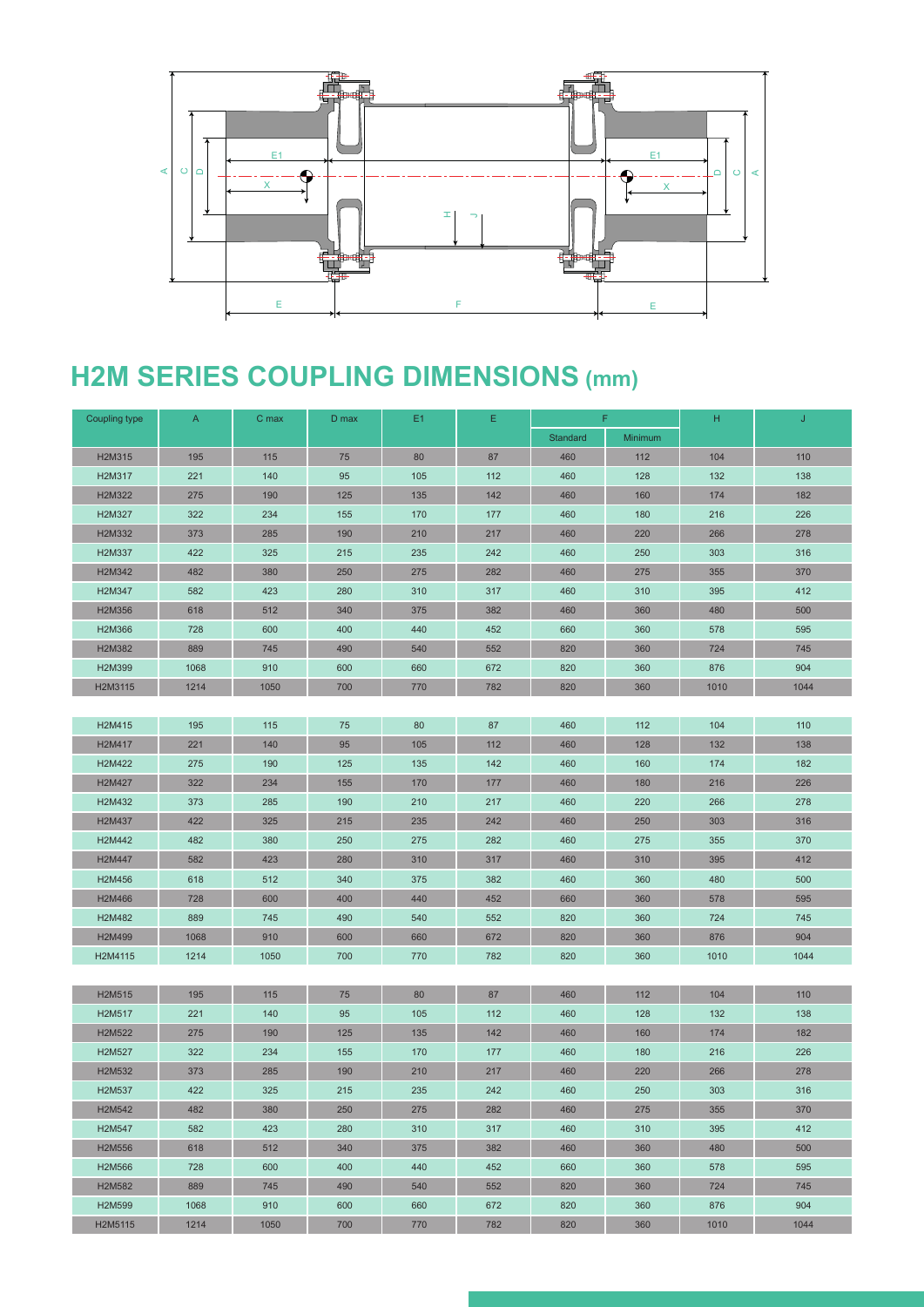

# **H2M SERIES COUPLING DIMENSIONS (mm)**

| Coupling type | $\mathsf{A}$ | C max | D max | E1  | Ε   | F.              |         | H    | J    |
|---------------|--------------|-------|-------|-----|-----|-----------------|---------|------|------|
|               |              |       |       |     |     | <b>Standard</b> | Minimum |      |      |
| H2M315        | 195          | 115   | 75    | 80  | 87  | 460             | 112     | 104  | 110  |
| H2M317        | 221          | 140   | 95    | 105 | 112 | 460             | 128     | 132  | 138  |
| H2M322        | 275          | 190   | 125   | 135 | 142 | 460             | 160     | 174  | 182  |
| H2M327        | 322          | 234   | 155   | 170 | 177 | 460             | 180     | 216  | 226  |
| H2M332        | 373          | 285   | 190   | 210 | 217 | 460             | 220     | 266  | 278  |
| H2M337        | 422          | 325   | 215   | 235 | 242 | 460             | 250     | 303  | 316  |
| H2M342        | 482          | 380   | 250   | 275 | 282 | 460             | 275     | 355  | 370  |
| H2M347        | 582          | 423   | 280   | 310 | 317 | 460             | 310     | 395  | 412  |
| H2M356        | 618          | 512   | 340   | 375 | 382 | 460             | 360     | 480  | 500  |
| H2M366        | 728          | 600   | 400   | 440 | 452 | 660             | 360     | 578  | 595  |
| H2M382        | 889          | 745   | 490   | 540 | 552 | 820             | 360     | 724  | 745  |
| H2M399        | 1068         | 910   | 600   | 660 | 672 | 820             | 360     | 876  | 904  |
| H2M3115       | 1214         | 1050  | 700   | 770 | 782 | 820             | 360     | 1010 | 1044 |
|               |              |       |       |     |     |                 |         |      |      |
| H2M415        | 195          | 115   | 75    | 80  | 87  | 460             | 112     | 104  | 110  |
| H2M417        | 221          | 140   | 95    | 105 | 112 | 460             | 128     | 132  | 138  |
| H2M422        | 275          | 190   | 125   | 135 | 142 | 460             | 160     | 174  | 182  |
| H2M427        | 322          | 234   | 155   | 170 | 177 | 460             | 180     | 216  | 226  |
| H2M432        | 373          | 285   | 190   | 210 | 217 | 460             | 220     | 266  | 278  |
| H2M437        | 422          | 325   | 215   | 235 | 242 | 460             | 250     | 303  | 316  |
| H2M442        | 482          | 380   | 250   | 275 | 282 | 460             | 275     | 355  | 370  |
| H2M447        | 582          | 423   | 280   | 310 | 317 | 460             | 310     | 395  | 412  |
| H2M456        | 618          | 512   | 340   | 375 | 382 | 460             | 360     | 480  | 500  |
| H2M466        | 728          | 600   | 400   | 440 | 452 | 660             | 360     | 578  | 595  |
| H2M482        | 889          | 745   | 490   | 540 | 552 | 820             | 360     | 724  | 745  |
| H2M499        | 1068         | 910   | 600   | 660 | 672 | 820             | 360     | 876  | 904  |
| H2M4115       | 1214         | 1050  | 700   | 770 | 782 | 820             | 360     | 1010 | 1044 |
|               |              |       |       |     |     |                 |         |      |      |
| H2M515        | 195          | 115   | 75    | 80  | 87  | 460             | 112     | 104  | 110  |
| H2M517        | 221          | 140   | 95    | 105 | 112 | 460             | 128     | 132  | 138  |
| H2M522        | 275          | 190   | 125   | 135 | 142 | 460             | 160     | 174  | 182  |
| H2M527        | 322          | 234   | 155   | 170 | 177 | 460             | 180     | 216  | 226  |
| H2M532        | 373          | 285   | 190   | 210 | 217 | 460             | 220     | 266  | 278  |
| H2M537        | 422          | 325   | 215   | 235 | 242 | 460             | 250     | 303  | 316  |
| H2M542        | 482          | 380   | 250   | 275 | 282 | 460             | 275     | 355  | 370  |
| H2M547        | 582          | 423   | 280   | 310 | 317 | 460             | 310     | 395  | 412  |
| H2M556        | 618          | 512   | 340   | 375 | 382 | 460             | 360     | 480  | 500  |
| H2M566        | 728          | 600   | 400   | 440 | 452 | 660             | 360     | 578  | 595  |
| H2M582        | 889          | 745   | 490   | 540 | 552 | 820             | 360     | 724  | 745  |
| H2M599        | 1068         | 910   | 600   | 660 | 672 | 820             | 360     | 876  | 904  |
| H2M5115       | 1214         | 1050  | 700   | 770 | 782 | 820             | 360     | 1010 | 1044 |